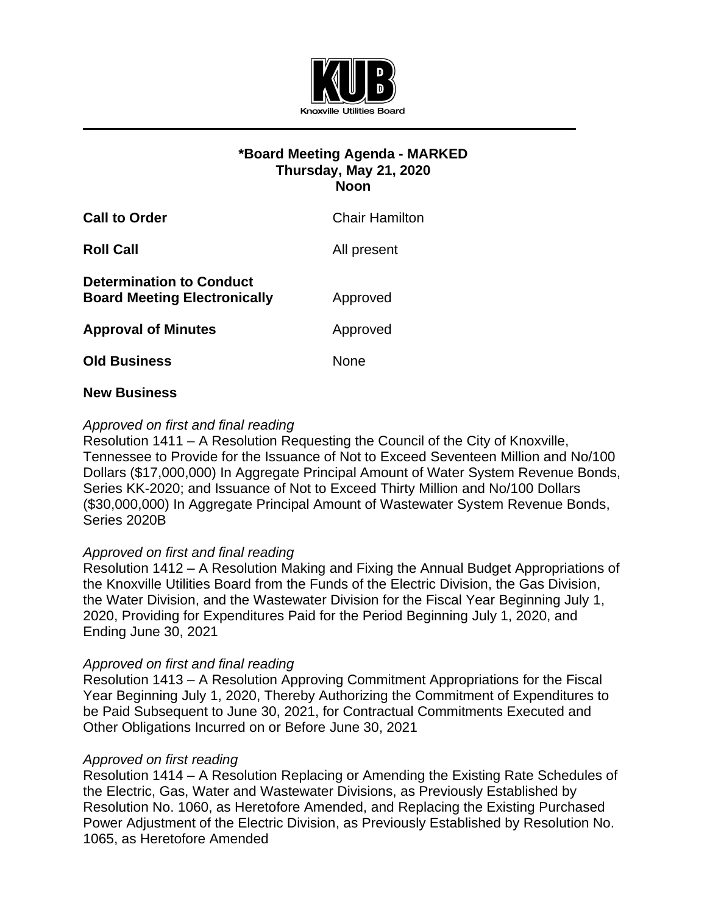

# **\*Board Meeting Agenda - MARKED Thursday, May 21, 2020 Noon**

| <b>Call to Order</b>                                                   | Chair Hamilton |
|------------------------------------------------------------------------|----------------|
| <b>Roll Call</b>                                                       | All present    |
| <b>Determination to Conduct</b><br><b>Board Meeting Electronically</b> | Approved       |
| <b>Approval of Minutes</b>                                             | Approved       |
| <b>Old Business</b>                                                    | None           |
|                                                                        |                |

### **New Business**

## *Approved on first and final reading*

Resolution 1411 – A Resolution Requesting the Council of the City of Knoxville, Tennessee to Provide for the Issuance of Not to Exceed Seventeen Million and No/100 Dollars (\$17,000,000) In Aggregate Principal Amount of Water System Revenue Bonds, Series KK-2020; and Issuance of Not to Exceed Thirty Million and No/100 Dollars (\$30,000,000) In Aggregate Principal Amount of Wastewater System Revenue Bonds, Series 2020B

### *Approved on first and final reading*

Resolution 1412 – A Resolution Making and Fixing the Annual Budget Appropriations of the Knoxville Utilities Board from the Funds of the Electric Division, the Gas Division, the Water Division, and the Wastewater Division for the Fiscal Year Beginning July 1, 2020, Providing for Expenditures Paid for the Period Beginning July 1, 2020, and Ending June 30, 2021

### *Approved on first and final reading*

Resolution 1413 – A Resolution Approving Commitment Appropriations for the Fiscal Year Beginning July 1, 2020, Thereby Authorizing the Commitment of Expenditures to be Paid Subsequent to June 30, 2021, for Contractual Commitments Executed and Other Obligations Incurred on or Before June 30, 2021

### *Approved on first reading*

Resolution 1414 – A Resolution Replacing or Amending the Existing Rate Schedules of the Electric, Gas, Water and Wastewater Divisions, as Previously Established by Resolution No. 1060, as Heretofore Amended, and Replacing the Existing Purchased Power Adjustment of the Electric Division, as Previously Established by Resolution No. 1065, as Heretofore Amended